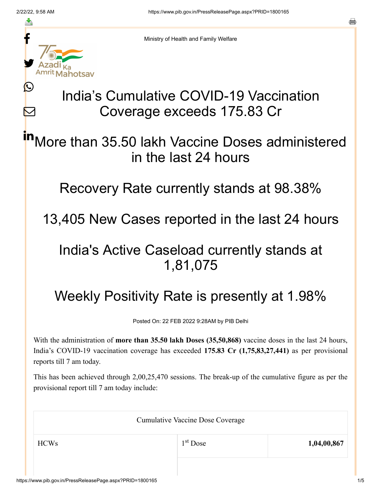≛

Ŀ

 $\bm{\nabla}$ 



Ministry of Health and Family Welfare

# India's Cumulative COVID-19 Vaccination Coverage exceeds 175.83 Cr

More than 35.50 lakh Vaccine Doses administered in the last 24 hours in

Recovery Rate currently stands at 98.38%

13,405 New Cases reported in the last 24 hours

### India's Active Caseload currently stands at 1,81,075

# Weekly Positivity Rate is presently at 1.98%

Posted On: 22 FEB 2022 9:28AM by PIB Delhi

With the administration of **more than 35.50 lakh Doses (35,50,868)** vaccine doses in the last 24 hours, India's COVID-19 vaccination coverage has exceeded **175.83 Cr (1,75,83,27,441)** as per provisional reports till 7 am today.

This has been achieved through 2,00,25,470 sessions. The break-up of the cumulative figure as per the provisional report till 7 am today include:

| <b>Cumulative Vaccine Dose Coverage</b> |            |             |  |
|-----------------------------------------|------------|-------------|--|
| <b>HCWs</b>                             | $1st$ Dose | 1,04,00,867 |  |
|                                         |            |             |  |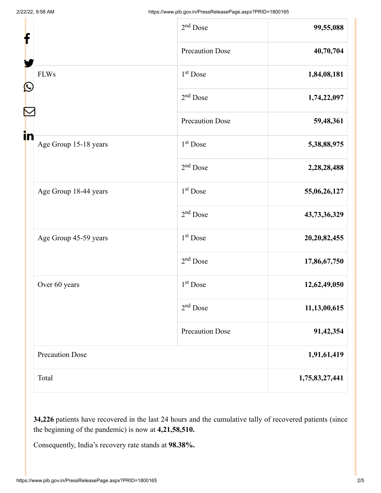| f                           | $2nd$ Dose             | 99,55,088       |
|-----------------------------|------------------------|-----------------|
|                             | <b>Precaution Dose</b> | 40,70,704       |
| <b>FLWs</b>                 | $1st$ Dose             | 1,84,08,181     |
| C                           | 2 <sup>nd</sup> Dose   | 1,74,22,097     |
|                             | <b>Precaution Dose</b> | 59,48,361       |
| in<br>Age Group 15-18 years | 1 <sup>st</sup> Dose   | 5,38,88,975     |
|                             | $2nd$ Dose             | 2,28,28,488     |
| Age Group 18-44 years       | 1 <sup>st</sup> Dose   | 55,06,26,127    |
|                             | $2nd$ Dose             | 43,73,36,329    |
| Age Group 45-59 years       | 1 <sup>st</sup> Dose   | 20, 20, 82, 455 |
|                             | $2nd$ Dose             | 17,86,67,750    |
| Over 60 years               | 1 <sup>st</sup> Dose   | 12,62,49,050    |
|                             | $2nd$ Dose             | 11,13,00,615    |
|                             | <b>Precaution Dose</b> | 91,42,354       |
| <b>Precaution Dose</b>      |                        | 1,91,61,419     |
| Total                       |                        | 1,75,83,27,441  |

**34,226** patients have recovered in the last 24 hours and the cumulative tally of recovered patients (since the beginning of the pandemic) is now at **4,21,58,510.**

Consequently, India's recovery rate stands at **98.38%.**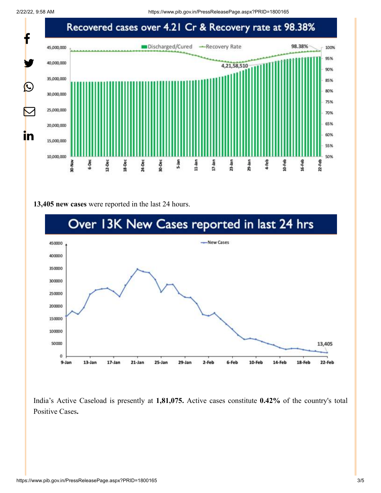2/22/22, 9:58 AM https://www.pib.gov.in/PressReleasePage.aspx?PRID=1800165



#### **13,405 new cases** were reported in the last 24 hours.



India's Active Caseload is presently at **1,81,075.** Active cases constitute **0.42%** of the country's total Positive Cases**.**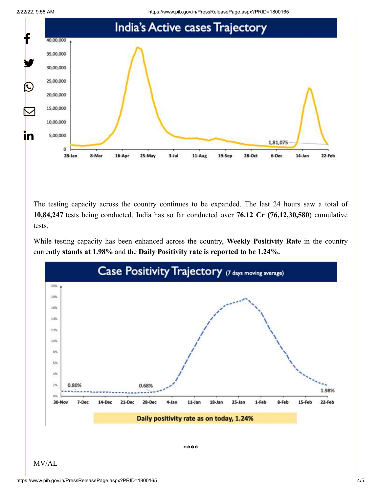



The testing capacity across the country continues to be expanded. The last 24 hours saw a total of **10,84,247** tests being conducted. India has so far conducted over **76.12 Cr (76,12,30,580**) cumulative tests.

While testing capacity has been enhanced across the country, **Weekly Positivity Rate** in the country currently **stands at 1.98%** and the **Daily Positivity rate is reported to be 1.24%.**